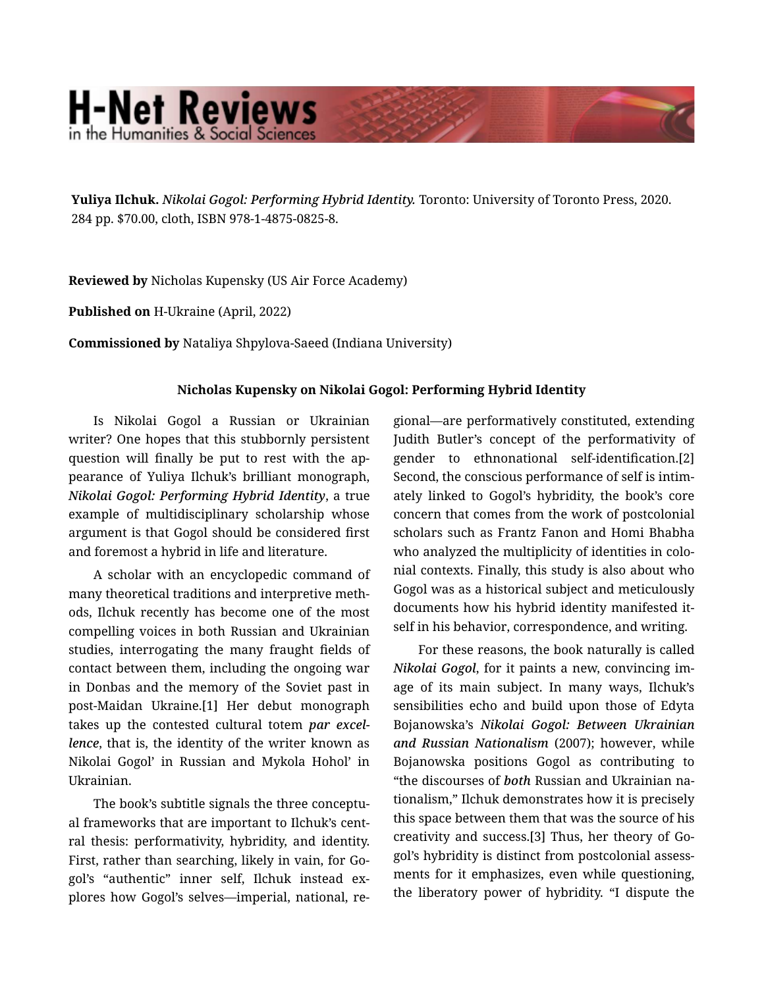## **H-Net Reviews**

**Yuliya Ilchuk.** *Nikolai Gogol: Performing Hybrid Identity.* Toronto: University of Toronto Press, 2020. 284 pp. \$70.00, cloth, ISBN 978-1-4875-0825-8.

**Reviewed by** Nicholas Kupensky (US Air Force Academy)

**Published on** H-Ukraine (April, 2022)

**Commissioned by** Nataliya Shpylova-Saeed (Indiana University)

## **Nicholas Kupensky on Nikolai Gogol: Performing Hybrid Identity**

Is Nikolai Gogol a Russian or Ukrainian writer? One hopes that this stubbornly persistent question will finally be put to rest with the ap‐ pearance of Yuliya Ilchuk's brilliant monograph, *Nikolai Gogol: Performing Hybrid Identity*, a true example of multidisciplinary scholarship whose argument is that Gogol should be considered first and foremost a hybrid in life and literature.

A scholar with an encyclopedic command of many theoretical traditions and interpretive meth‐ ods, Ilchuk recently has become one of the most compelling voices in both Russian and Ukrainian studies, interrogating the many fraught fields of contact between them, including the ongoing war in Donbas and the memory of the Soviet past in post-Maidan Ukraine.[1] Her debut monograph takes up the contested cultural totem *par excel‐ lence*, that is, the identity of the writer known as Nikolai Gogol' in Russian and Mykola Hohol' in Ukrainian.

The book's subtitle signals the three conceptu‐ al frameworks that are important to Ilchuk's cent‐ ral thesis: performativity, hybridity, and identity. First, rather than searching, likely in vain, for Go‐ gol's "authentic" inner self, Ilchuk instead ex‐ plores how Gogol's selves—imperial, national, re‐ gional—are performatively constituted, extending Judith Butler's concept of the performativity of gender to ethnonational self-identification.[2] Second, the conscious performance of self is intim‐ ately linked to Gogol's hybridity, the book's core concern that comes from the work of postcolonial scholars such as Frantz Fanon and Homi Bhabha who analyzed the multiplicity of identities in colonial contexts. Finally, this study is also about who Gogol was as a historical subject and meticulously documents how his hybrid identity manifested it‐ self in his behavior, correspondence, and writing.

For these reasons, the book naturally is called *Nikolai Gogol*, for it paints a new, convincing im‐ age of its main subject. In many ways, Ilchuk's sensibilities echo and build upon those of Edyta Bojanowska's *Nikolai Gogol: Between Ukrainian and Russian Nationalism* (2007); however, while Bojanowska positions Gogol as contributing to "the discourses of *both* Russian and Ukrainian na‐ tionalism," Ilchuk demonstrates how it is precisely this space between them that was the source of his creativity and success.[3] Thus, her theory of Go‐ gol's hybridity is distinct from postcolonial assess‐ ments for it emphasizes, even while questioning, the liberatory power of hybridity. "I dispute the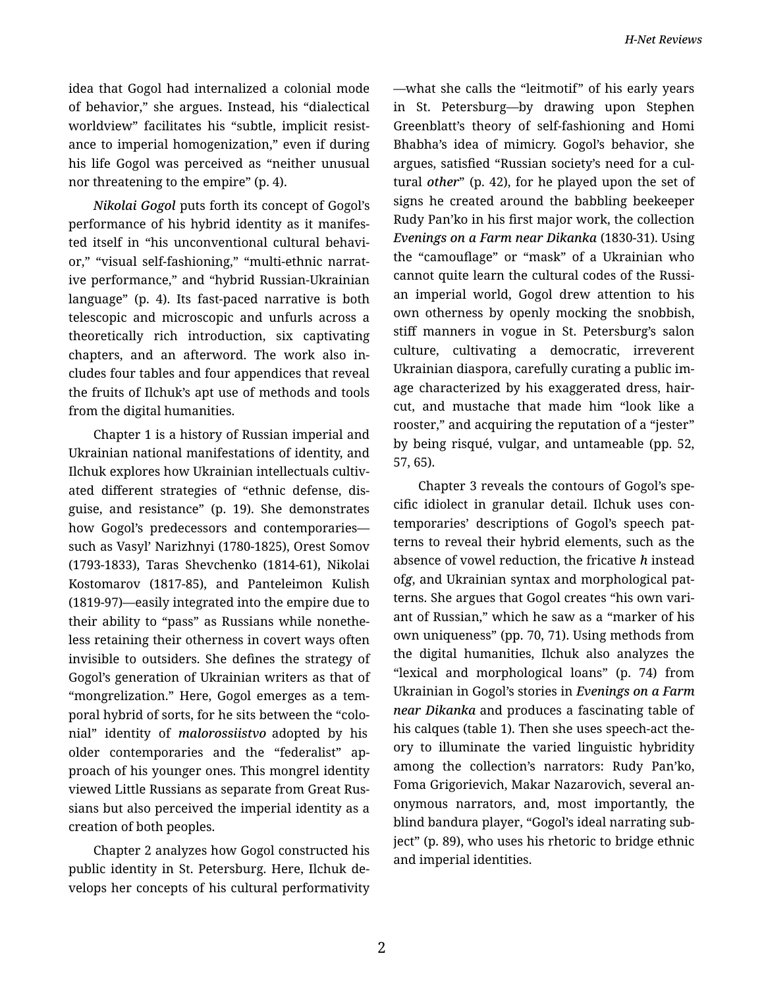idea that Gogol had internalized a colonial mode of behavior," she argues. Instead, his "dialectical worldview" facilitates his "subtle, implicit resist‐ ance to imperial homogenization," even if during his life Gogol was perceived as "neither unusual nor threatening to the empire" (p. 4).

*Nikolai Gogol* puts forth its concept of Gogol's performance of his hybrid identity as it manifes‐ ted itself in "his unconventional cultural behavi‐ or," "visual self-fashioning," "multi-ethnic narrat‐ ive performance," and "hybrid Russian-Ukrainian language" (p. 4). Its fast-paced narrative is both telescopic and microscopic and unfurls across a theoretically rich introduction, six captivating chapters, and an afterword. The work also in‐ cludes four tables and four appendices that reveal the fruits of Ilchuk's apt use of methods and tools from the digital humanities.

Chapter 1 is a history of Russian imperial and Ukrainian national manifestations of identity, and Ilchuk explores how Ukrainian intellectuals cultiv‐ ated different strategies of "ethnic defense, dis‐ guise, and resistance" (p. 19). She demonstrates how Gogol's predecessors and contemporaries such as Vasyl' Narizhnyi (1780-1825), Orest Somov (1793-1833), Taras Shevchenko (1814-61), Nikolai Kostomarov (1817-85), and Panteleimon Kulish (1819-97)—easily integrated into the empire due to their ability to "pass" as Russians while nonethe‐ less retaining their otherness in covert ways often invisible to outsiders. She defines the strategy of Gogol's generation of Ukrainian writers as that of "mongrelization." Here, Gogol emerges as a tem‐ poral hybrid of sorts, for he sits between the "colo‐ nial" identity of *malorossiistvo* adopted by his older contemporaries and the "federalist" ap‐ proach of his younger ones. This mongrel identity viewed Little Russians as separate from Great Rus‐ sians but also perceived the imperial identity as a creation of both peoples.

Chapter 2 analyzes how Gogol constructed his public identity in St. Petersburg. Here, Ilchuk de‐ velops her concepts of his cultural performativity —what she calls the "leitmotif" of his early years in St. Petersburg—by drawing upon Stephen Greenblatt's theory of self-fashioning and Homi Bhabha's idea of mimicry. Gogol's behavior, she argues, satisfied "Russian society's need for a cul‐ tural *other*" (p. 42), for he played upon the set of signs he created around the babbling beekeeper Rudy Pan'ko in his first major work, the collection *Evenings on a Farm near Dikanka* (1830-31). Using the "camouflage" or "mask" of a Ukrainian who cannot quite learn the cultural codes of the Russi‐ an imperial world, Gogol drew attention to his own otherness by openly mocking the snobbish, stiff manners in vogue in St. Petersburg's salon culture, cultivating a democratic, irreverent Ukrainian diaspora, carefully curating a public im‐ age characterized by his exaggerated dress, hair‐ cut, and mustache that made him "look like a rooster," and acquiring the reputation of a "jester" by being risqué, vulgar, and untameable (pp. 52, 57, 65).

Chapter 3 reveals the contours of Gogol's spe‐ cific idiolect in granular detail. Ilchuk uses con‐ temporaries' descriptions of Gogol's speech pat‐ terns to reveal their hybrid elements, such as the absence of vowel reduction, the fricative *h* instead of*g*, and Ukrainian syntax and morphological pat‐ terns. She argues that Gogol creates "his own vari‐ ant of Russian," which he saw as a "marker of his own uniqueness" (pp. 70, 71). Using methods from the digital humanities, Ilchuk also analyzes the "lexical and morphological loans" (p. 74) from Ukrainian in Gogol's stories in *Evenings on a Farm near Dikanka* and produces a fascinating table of his calques (table 1). Then she uses speech-act the‐ ory to illuminate the varied linguistic hybridity among the collection's narrators: Rudy Pan'ko, Foma Grigorievich, Makar Nazarovich, several an‐ onymous narrators, and, most importantly, the blind bandura player, "Gogol's ideal narrating sub‐ ject" (p. 89), who uses his rhetoric to bridge ethnic and imperial identities.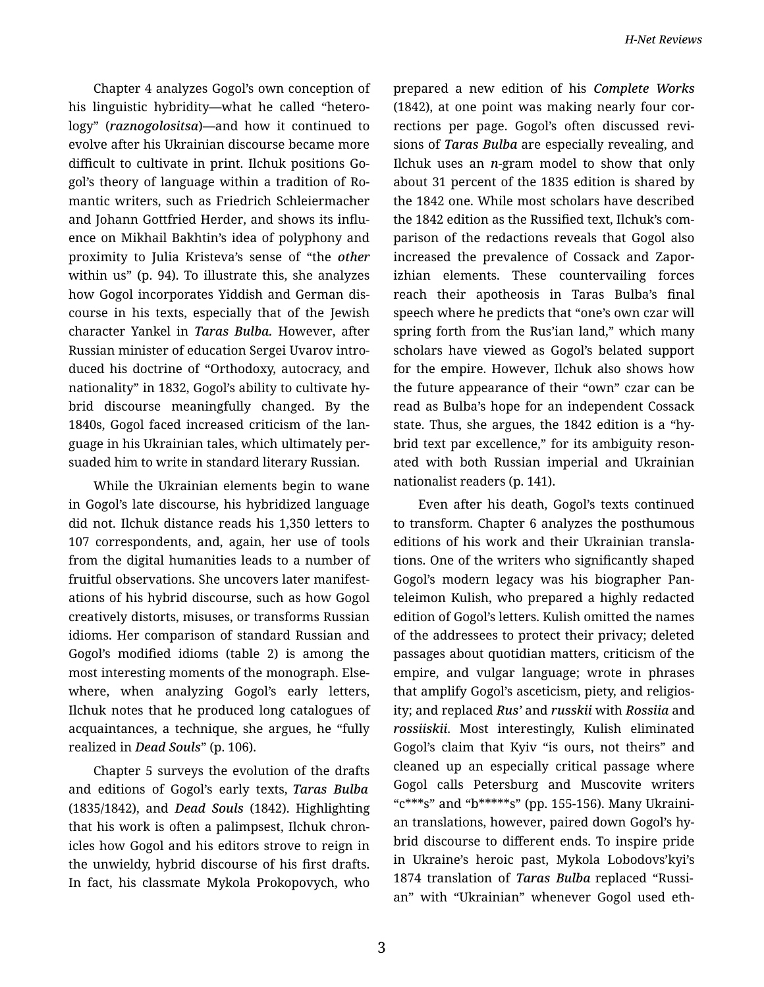Chapter 4 analyzes Gogol's own conception of his linguistic hybridity—what he called "hetero‐ logy" (*raznogolositsa*)—and how it continued to evolve after his Ukrainian discourse became more difficult to cultivate in print. Ilchuk positions Go‐ gol's theory of language within a tradition of Ro‐ mantic writers, such as Friedrich Schleiermacher and Johann Gottfried Herder, and shows its influ‐ ence on Mikhail Bakhtin's idea of polyphony and proximity to Julia Kristeva's sense of "the *other* within us" (p. 94). To illustrate this, she analyzes how Gogol incorporates Yiddish and German dis‐ course in his texts, especially that of the Jewish character Yankel in *Taras Bulba.* However, after Russian minister of education Sergei Uvarov intro‐ duced his doctrine of "Orthodoxy, autocracy, and nationality" in 1832, Gogol's ability to cultivate hy‐ brid discourse meaningfully changed. By the 1840s, Gogol faced increased criticism of the lan‐ guage in his Ukrainian tales, which ultimately per‐ suaded him to write in standard literary Russian.

While the Ukrainian elements begin to wane in Gogol's late discourse, his hybridized language did not. Ilchuk distance reads his 1,350 letters to 107 correspondents, and, again, her use of tools from the digital humanities leads to a number of fruitful observations. She uncovers later manifest‐ ations of his hybrid discourse, such as how Gogol creatively distorts, misuses, or transforms Russian idioms. Her comparison of standard Russian and Gogol's modified idioms (table 2) is among the most interesting moments of the monograph. Else‐ where, when analyzing Gogol's early letters, Ilchuk notes that he produced long catalogues of acquaintances, a technique, she argues, he "fully realized in *Dead Souls*" (p. 106).

Chapter 5 surveys the evolution of the drafts and editions of Gogol's early texts, *Taras Bulba* (1835/1842), and *Dead Souls* (1842). Highlighting that his work is often a palimpsest, Ilchuk chron‐ icles how Gogol and his editors strove to reign in the unwieldy, hybrid discourse of his first drafts. In fact, his classmate Mykola Prokopovych, who prepared a new edition of his *Complete Works* (1842), at one point was making nearly four cor‐ rections per page. Gogol's often discussed revi‐ sions of *Taras Bulba* are especially revealing, and Ilchuk uses an *n*-gram model to show that only about 31 percent of the 1835 edition is shared by the 1842 one. While most scholars have described the 1842 edition as the Russified text, Ilchuk's com‐ parison of the redactions reveals that Gogol also increased the prevalence of Cossack and Zapor‐ izhian elements. These countervailing forces reach their apotheosis in Taras Bulba's final speech where he predicts that "one's own czar will spring forth from the Rus'ian land," which many scholars have viewed as Gogol's belated support for the empire. However, Ilchuk also shows how the future appearance of their "own" czar can be read as Bulba's hope for an independent Cossack state. Thus, she argues, the 1842 edition is a "hy‐ brid text par excellence," for its ambiguity resonated with both Russian imperial and Ukrainian nationalist readers (p. 141).

Even after his death, Gogol's texts continued to transform. Chapter 6 analyzes the posthumous editions of his work and their Ukrainian transla‐ tions. One of the writers who significantly shaped Gogol's modern legacy was his biographer Pan‐ teleimon Kulish, who prepared a highly redacted edition of Gogol's letters. Kulish omitted the names of the addressees to protect their privacy; deleted passages about quotidian matters, criticism of the empire, and vulgar language; wrote in phrases that amplify Gogol's asceticism, piety, and religios‐ ity; and replaced *Rus'* and *russkii* with *Rossiia* and *rossiiskii*. Most interestingly, Kulish eliminated Gogol's claim that Kyiv "is ours, not theirs" and cleaned up an especially critical passage where Gogol calls Petersburg and Muscovite writers "c\*\*\*s" and "b\*\*\*\*\*s" (pp. 155-156). Many Ukraini‐ an translations, however, paired down Gogol's hy‐ brid discourse to different ends. To inspire pride in Ukraine's heroic past, Mykola Lobodovs'kyi's 1874 translation of *Taras Bulba* replaced "Russi‐ an" with "Ukrainian" whenever Gogol used eth‐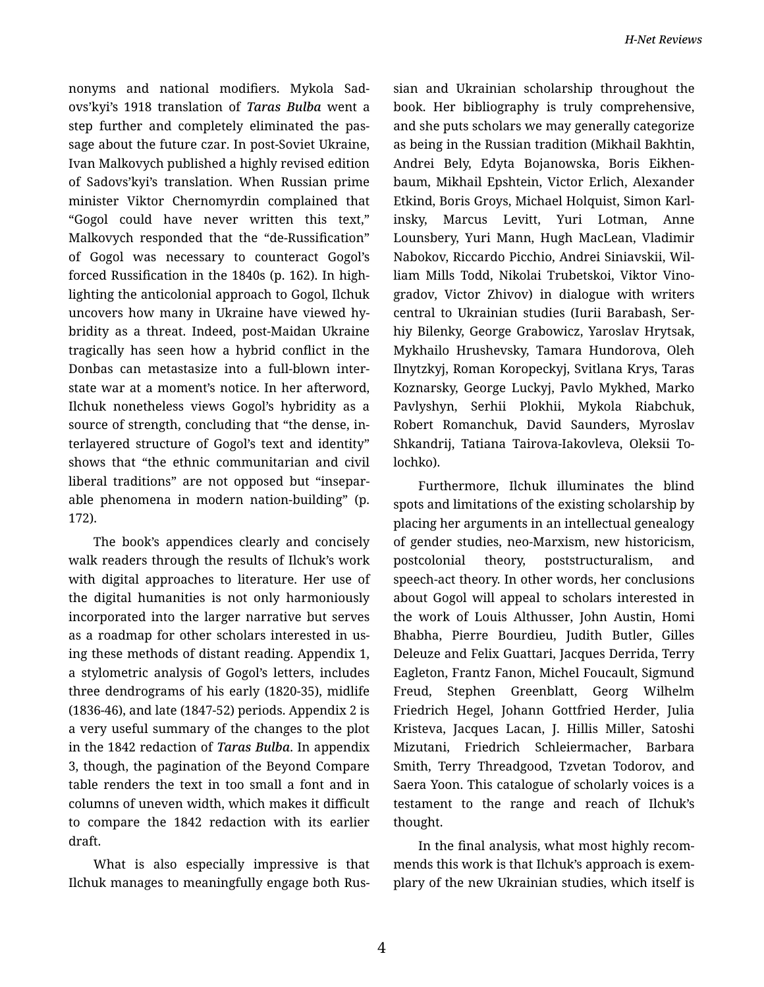nonyms and national modifiers. Mykola Sad‐ ovs'kyi's 1918 translation of *Taras Bulba* went a step further and completely eliminated the pas‐ sage about the future czar. In post-Soviet Ukraine, Ivan Malkovych published a highly revised edition of Sadovs'kyi's translation. When Russian prime minister Viktor Chernomyrdin complained that "Gogol could have never written this text," Malkovych responded that the "de-Russification" of Gogol was necessary to counteract Gogol's forced Russification in the 1840s (p. 162). In high‐ lighting the anticolonial approach to Gogol, Ilchuk uncovers how many in Ukraine have viewed hy‐ bridity as a threat. Indeed, post-Maidan Ukraine tragically has seen how a hybrid conflict in the Donbas can metastasize into a full-blown inter‐ state war at a moment's notice. In her afterword, Ilchuk nonetheless views Gogol's hybridity as a source of strength, concluding that "the dense, in‐ terlayered structure of Gogol's text and identity" shows that "the ethnic communitarian and civil liberal traditions" are not opposed but "insepar‐ able phenomena in modern nation-building" (p. 172).

The book's appendices clearly and concisely walk readers through the results of Ilchuk's work with digital approaches to literature. Her use of the digital humanities is not only harmoniously incorporated into the larger narrative but serves as a roadmap for other scholars interested in us‐ ing these methods of distant reading. Appendix 1, a stylometric analysis of Gogol's letters, includes three dendrograms of his early (1820-35), midlife (1836-46), and late (1847-52) periods. Appendix 2 is a very useful summary of the changes to the plot in the 1842 redaction of *Taras Bulba*. In appendix 3, though, the pagination of the Beyond Compare table renders the text in too small a font and in columns of uneven width, which makes it difficult to compare the 1842 redaction with its earlier draft.

What is also especially impressive is that Ilchuk manages to meaningfully engage both Rus‐

sian and Ukrainian scholarship throughout the book. Her bibliography is truly comprehensive, and she puts scholars we may generally categorize as being in the Russian tradition (Mikhail Bakhtin, Andrei Bely, Edyta Bojanowska, Boris Eikhen‐ baum, Mikhail Epshtein, Victor Erlich, Alexander Etkind, Boris Groys, Michael Holquist, Simon Karl‐ insky, Marcus Levitt, Yuri Lotman, Anne Lounsbery, Yuri Mann, Hugh MacLean, Vladimir Nabokov, Riccardo Picchio, Andrei Siniavskii, Wil‐ liam Mills Todd, Nikolai Trubetskoi, Viktor Vino‐ gradov, Victor Zhivov) in dialogue with writers central to Ukrainian studies (Iurii Barabash, Ser‐ hiy Bilenky, George Grabowicz, Yaroslav Hrytsak, Mykhailo Hrushevsky, Tamara Hundorova, Oleh Ilnytzkyj, Roman Koropeckyj, Svitlana Krys, Taras Koznarsky, George Luckyj, Pavlo Mykhed, Marko Pavlyshyn, Serhii Plokhii, Mykola Riabchuk, Robert Romanchuk, David Saunders, Myroslav Shkandrij, Tatiana Tairova-Iakovleva, Oleksii To‐ lochko).

Furthermore, Ilchuk illuminates the blind spots and limitations of the existing scholarship by placing her arguments in an intellectual genealogy of gender studies, neo-Marxism, new historicism, postcolonial theory, poststructuralism, and speech-act theory. In other words, her conclusions about Gogol will appeal to scholars interested in the work of Louis Althusser, John Austin, Homi Bhabha, Pierre Bourdieu, Judith Butler, Gilles Deleuze and Felix Guattari, Jacques Derrida, Terry Eagleton, Frantz Fanon, Michel Foucault, Sigmund Freud, Stephen Greenblatt, Georg Wilhelm Friedrich Hegel, Johann Gottfried Herder, Julia Kristeva, Jacques Lacan, J. Hillis Miller, Satoshi Mizutani, Friedrich Schleiermacher, Barbara Smith, Terry Threadgood, Tzvetan Todorov, and Saera Yoon. This catalogue of scholarly voices is a testament to the range and reach of Ilchuk's thought.

In the final analysis, what most highly recom‐ mends this work is that Ilchuk's approach is exem‐ plary of the new Ukrainian studies, which itself is